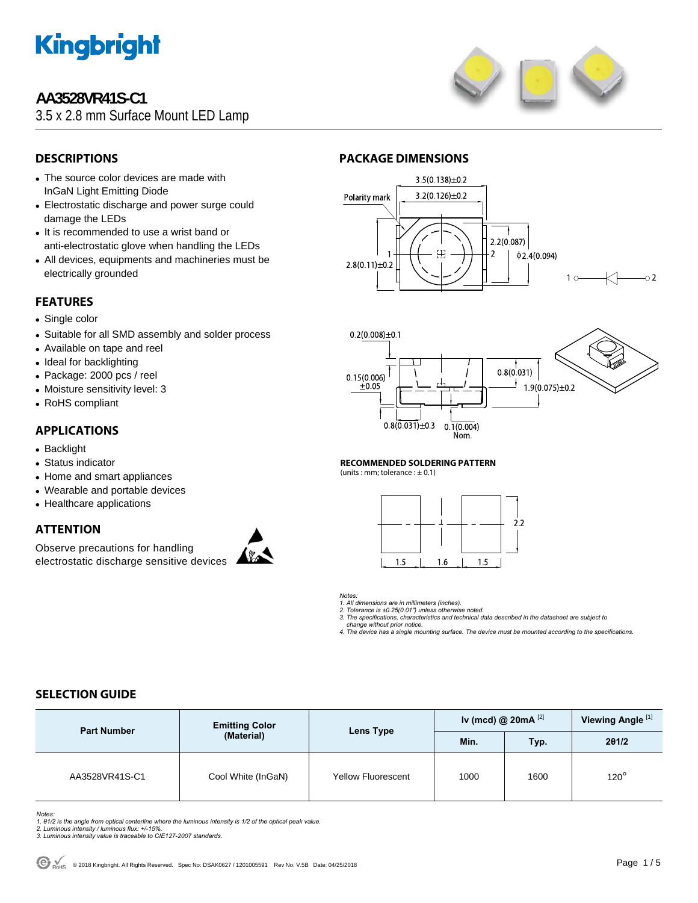

### **AA3528VR41S-C1**

3.5 x 2.8 mm Surface Mount LED Lamp



### **DESCRIPTIONS**

- The source color devices are made with InGaN Light Emitting Diode
- Electrostatic discharge and power surge could damage the LEDs
- It is recommended to use a wrist band or anti-electrostatic glove when handling the LEDs
- All devices, equipments and machineries must be electrically grounded

#### **FEATURES**

- Single color
- Suitable for all SMD assembly and solder process
- Available on tape and reel
- Ideal for backlighting
- Package: 2000 pcs / reel
- Moisture sensitivity level: 3
- RoHS compliant

#### **APPLICATIONS**

- Backlight
- Status indicator
- Home and smart appliances
- Wearable and portable devices
- Healthcare applications

#### **ATTENTION**

Observe precautions for handling electrostatic discharge sensitive devices



#### **PACKAGE DIMENSIONS**





#### **RECOMMENDED SOLDERING PATTERN**

(units : mm; tolerance :  $\pm$  0.1)



#### *Notes:*

*1. All dimensions are in millimeters (inches). 2. Tolerance is ±0.25(0.01") unless otherwise noted.* 

*3. The specifications, characteristics and technical data described in the datasheet are subject to* 

 *change without prior notice.* 

*4. The device has a single mounting surface. The device must be mounted according to the specifications.* 

#### **SELECTION GUIDE**

| <b>Part Number</b> | <b>Emitting Color</b> | Lens Type                 | Iv (mcd) @ $20mA$ <sup>[2]</sup> | Viewing Angle <sup>[1]</sup> |             |
|--------------------|-----------------------|---------------------------|----------------------------------|------------------------------|-------------|
|                    | (Material)            |                           | Min.                             | Typ.                         | 201/2       |
| AA3528VR41S-C1     | Cool White (InGaN)    | <b>Yellow Fluorescent</b> | 1000                             | 1600                         | $120^\circ$ |

*Notes:* 

*1. θ1/2 is the angle from optical centerline where the luminous intensity is 1/2 of the optical peak value. 2. Luminous intensity / luminous flux: +/-15%.* 

- 
- *3. Luminous intensity value is traceable to CIE127-2007 standards.*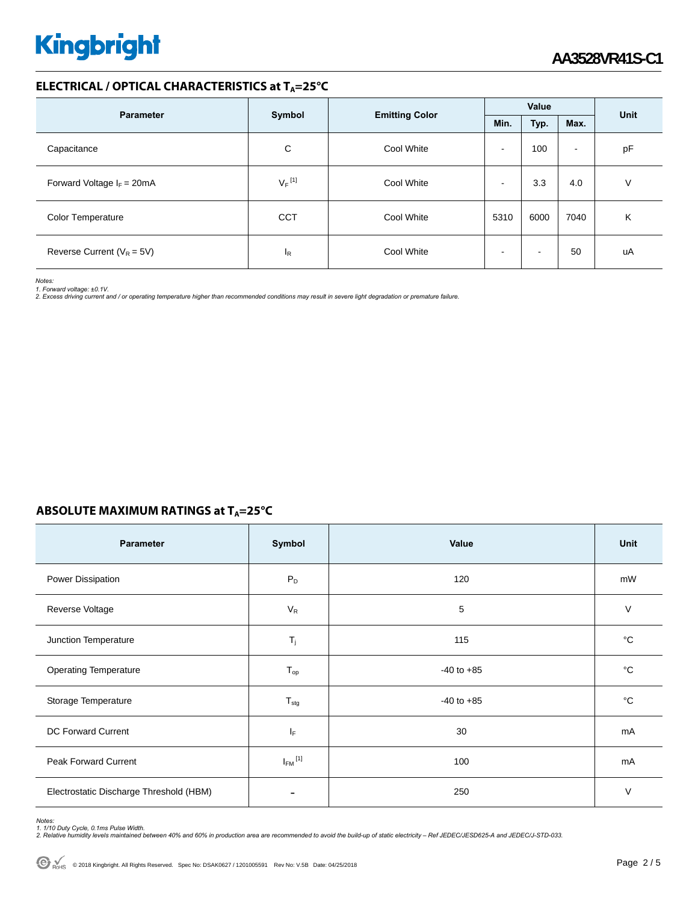#### **ELECTRICAL / OPTICAL CHARACTERISTICS at TA=25°C**

| <b>Parameter</b>               |                      |                       | Value        |      |                          | Unit |  |
|--------------------------------|----------------------|-----------------------|--------------|------|--------------------------|------|--|
|                                | Symbol               | <b>Emitting Color</b> | Min.<br>Typ. |      | Max.                     |      |  |
| Capacitance                    | С                    | Cool White            | -            | 100  | $\overline{\phantom{a}}$ | pF   |  |
| Forward Voltage $I_F = 20mA$   | $V_F$ <sup>[1]</sup> | Cool White            | -            | 3.3  | 4.0                      | V    |  |
| <b>Color Temperature</b>       | <b>CCT</b>           | Cool White            | 5310         | 6000 | 7040                     | Κ    |  |
| Reverse Current ( $V_R = 5V$ ) | ΙR                   | Cool White            |              |      | 50                       | uA   |  |

*Notes:* 

*1. Forward voltage: ±0.1V. 2. Excess driving current and / or operating temperature higher than recommended conditions may result in severe light degradation or premature failure.* 

#### **ABSOLUTE MAXIMUM RATINGS at T<sub>A</sub>=25°C**

| Parameter                               | Symbol                  | Value          | <b>Unit</b> |
|-----------------------------------------|-------------------------|----------------|-------------|
| Power Dissipation                       | $P_D$                   | 120            | mW          |
| Reverse Voltage                         | $V_R$                   | 5              | $\vee$      |
| Junction Temperature                    | $T_j$                   | 115            | °C          |
| <b>Operating Temperature</b>            | $T_{op}$                | $-40$ to $+85$ | °C          |
| Storage Temperature                     | $T_{\text{stg}}$        | $-40$ to $+85$ | °C          |
| <b>DC Forward Current</b>               | IF.                     | 30             | mA          |
| Peak Forward Current                    | $I_{FM}$ <sup>[1]</sup> | 100            | mA          |
| Electrostatic Discharge Threshold (HBM) |                         | 250            | $\vee$      |

Notes:<br>1. 1/10 Duty Cycle, 0.1ms Pulse Width.<br>2. Relative humidity levels maintained between 40% and 60% in production area are recommended to avoid the build-up of static electricity – Ref JEDEC/JESD625-A and JEDEC/J-STD-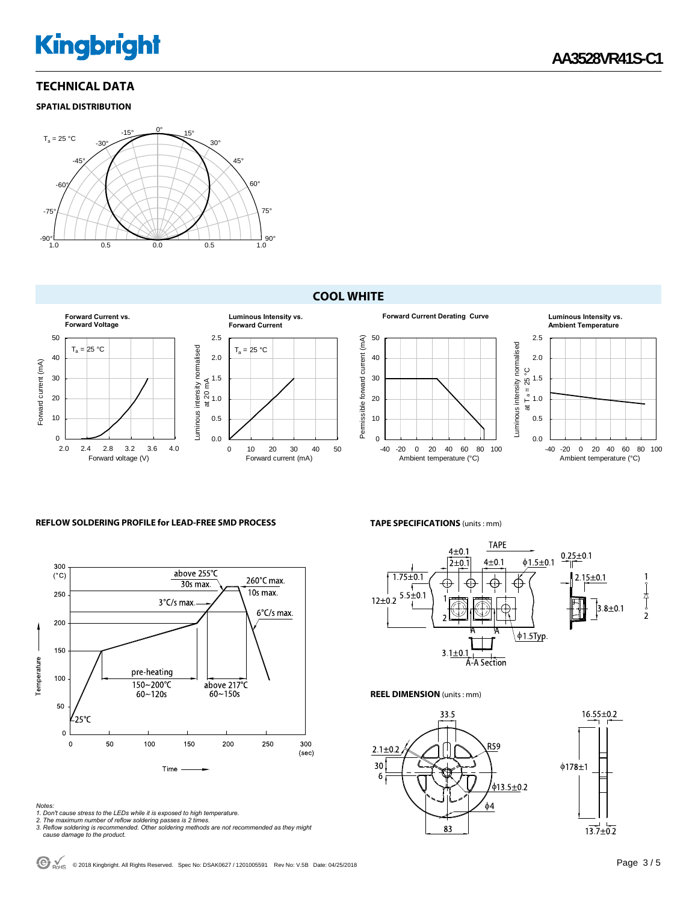#### **TECHNICAL DATA**

#### **SPATIAL DISTRIBUTION**



#### **COOL WHITE**



#### **REFLOW SOLDERING PROFILE for LEAD-FREE SMD PROCESS**



- 
- 
- Notes:<br>1. Don't cause stress to the LEDs while it is exposed to high temperature.<br>2. The maximum number of reflow soldering passes is 2 times.<br>3. Reflow soldering is recommended. Other soldering methods are not recommended

#### **TAPE SPECIFICATIONS** (units : mm)



**REEL DIMENSION** (units : mm)

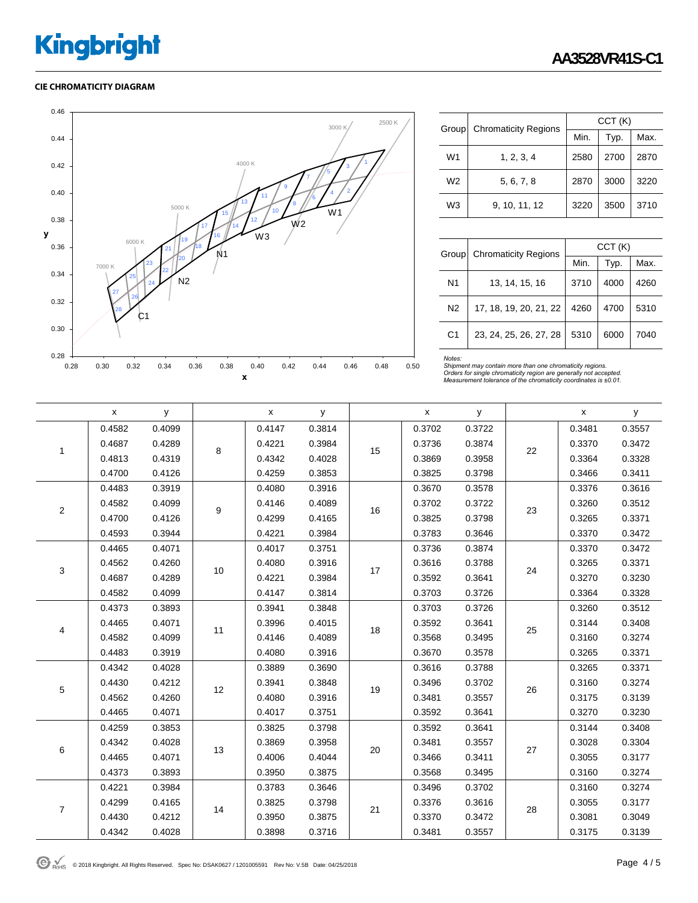#### **CIE CHROMATICITY DIAGRAM**



| Group          | <b>Chromaticity Regions</b> | CCT(K) |      |      |  |  |  |
|----------------|-----------------------------|--------|------|------|--|--|--|
|                |                             | Min.   | Typ. | Max. |  |  |  |
| W <sub>1</sub> | 1, 2, 3, 4                  | 2580   | 2700 | 2870 |  |  |  |
| W <sub>2</sub> | 5, 6, 7, 8                  | 2870   | 3000 | 3220 |  |  |  |
| W <sub>3</sub> | 9, 10, 11, 12               | 3220   | 3500 | 3710 |  |  |  |

| Group          | <b>Chromaticity Regions</b> | CCT(K) |      |      |  |  |
|----------------|-----------------------------|--------|------|------|--|--|
|                |                             | Min.   | Typ. | Max. |  |  |
| N1             | 13, 14, 15, 16              | 3710   | 4000 | 4260 |  |  |
| N <sub>2</sub> | 17, 18, 19, 20, 21, 22      | 4260   | 4700 | 5310 |  |  |
| C <sub>1</sub> | 23, 24, 25, 26, 27, 28      | 5310   | 6000 | 7040 |  |  |

Notes:<br>Shipment may contain more than one chromaticity regions.<br>Orders for single chromaticity region are generally not accepted.<br>Measurement tolerance of the chromaticity coordinates is ±0.01.

|                  | x      | У      |      | X      | У      |    | X      | у      |    | x      | у      |
|------------------|--------|--------|------|--------|--------|----|--------|--------|----|--------|--------|
|                  | 0.4582 | 0.4099 | 8    | 0.4147 | 0.3814 | 15 | 0.3702 | 0.3722 | 22 | 0.3481 | 0.3557 |
| $\mathbf{1}$     | 0.4687 | 0.4289 |      | 0.4221 | 0.3984 |    | 0.3736 | 0.3874 |    | 0.3370 | 0.3472 |
|                  | 0.4813 | 0.4319 |      | 0.4342 | 0.4028 |    | 0.3869 | 0.3958 |    | 0.3364 | 0.3328 |
|                  | 0.4700 | 0.4126 |      | 0.4259 | 0.3853 |    | 0.3825 | 0.3798 |    | 0.3466 | 0.3411 |
|                  | 0.4483 | 0.3919 |      | 0.4080 | 0.3916 | 16 | 0.3670 | 0.3578 | 23 | 0.3376 | 0.3616 |
| $\mathbf 2$      | 0.4582 | 0.4099 | 9    | 0.4146 | 0.4089 |    | 0.3702 | 0.3722 |    | 0.3260 | 0.3512 |
|                  | 0.4700 | 0.4126 |      | 0.4299 | 0.4165 |    | 0.3825 | 0.3798 |    | 0.3265 | 0.3371 |
|                  | 0.4593 | 0.3944 |      | 0.4221 | 0.3984 |    | 0.3783 | 0.3646 |    | 0.3370 | 0.3472 |
|                  | 0.4465 | 0.4071 | 10   | 0.4017 | 0.3751 | 17 | 0.3736 | 0.3874 | 24 | 0.3370 | 0.3472 |
| $\sqrt{3}$       | 0.4562 | 0.4260 |      | 0.4080 | 0.3916 |    | 0.3616 | 0.3788 |    | 0.3265 | 0.3371 |
|                  | 0.4687 | 0.4289 |      | 0.4221 | 0.3984 |    | 0.3592 | 0.3641 |    | 0.3270 | 0.3230 |
|                  | 0.4582 | 0.4099 |      | 0.4147 | 0.3814 |    | 0.3703 | 0.3726 |    | 0.3364 | 0.3328 |
|                  | 0.4373 | 0.3893 | 11   | 0.3941 | 0.3848 | 18 | 0.3703 | 0.3726 | 25 | 0.3260 | 0.3512 |
| 4                | 0.4465 | 0.4071 |      | 0.3996 | 0.4015 |    | 0.3592 | 0.3641 |    | 0.3144 | 0.3408 |
|                  | 0.4582 | 0.4099 |      | 0.4146 | 0.4089 |    | 0.3568 | 0.3495 |    | 0.3160 | 0.3274 |
|                  | 0.4483 | 0.3919 |      | 0.4080 | 0.3916 |    | 0.3670 | 0.3578 |    | 0.3265 | 0.3371 |
|                  | 0.4342 | 0.4028 |      | 0.3889 | 0.3690 | 19 | 0.3616 | 0.3788 | 26 | 0.3265 | 0.3371 |
| $\,$ 5 $\,$      | 0.4430 | 0.4212 | 12   | 0.3941 | 0.3848 |    | 0.3496 | 0.3702 |    | 0.3160 | 0.3274 |
|                  | 0.4562 | 0.4260 |      | 0.4080 | 0.3916 |    | 0.3481 | 0.3557 |    | 0.3175 | 0.3139 |
|                  | 0.4465 | 0.4071 |      | 0.4017 | 0.3751 |    | 0.3592 | 0.3641 |    | 0.3270 | 0.3230 |
|                  | 0.4259 | 0.3853 |      | 0.3825 | 0.3798 |    | 0.3592 | 0.3641 | 27 | 0.3144 | 0.3408 |
| 6                | 0.4342 | 0.4028 | $13$ | 0.3869 | 0.3958 |    | 0.3481 | 0.3557 |    | 0.3028 | 0.3304 |
|                  | 0.4465 | 0.4071 |      | 0.4006 | 0.4044 | 20 | 0.3466 | 0.3411 |    | 0.3055 | 0.3177 |
|                  | 0.4373 | 0.3893 |      | 0.3950 | 0.3875 |    | 0.3568 | 0.3495 |    | 0.3160 | 0.3274 |
| $\boldsymbol{7}$ | 0.4221 | 0.3984 | 14   | 0.3783 | 0.3646 | 21 | 0.3496 | 0.3702 | 28 | 0.3160 | 0.3274 |
|                  | 0.4299 | 0.4165 |      | 0.3825 | 0.3798 |    | 0.3376 | 0.3616 |    | 0.3055 | 0.3177 |
|                  | 0.4430 | 0.4212 |      | 0.3950 | 0.3875 |    | 0.3370 | 0.3472 |    | 0.3081 | 0.3049 |
|                  | 0.4342 | 0.4028 |      | 0.3898 | 0.3716 |    | 0.3481 | 0.3557 |    | 0.3175 | 0.3139 |